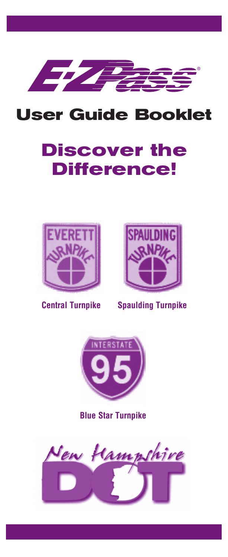

## **User Guide Booklet**

# **Discover the Difference!**





**Central Turnpike**

**Spaulding Turnpike**



**Blue Star Turnpike**

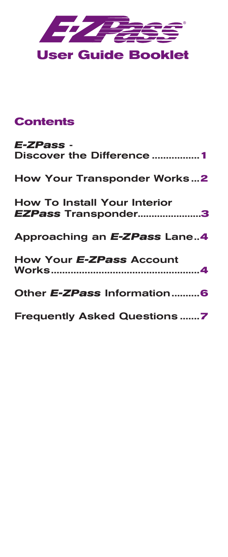

## **Contents**

| E-ZPass -<br>Discover the Difference 1                     |
|------------------------------------------------------------|
| <b>How Your Transponder Works2</b>                         |
| <b>How To Install Your Interior</b><br>EZPass Transponder3 |
| Approaching an E-ZPass Lane4                               |
| How Your E-ZPass Account                                   |
| Other E-ZPass Information6                                 |
| <b>Frequently Asked Questions7</b>                         |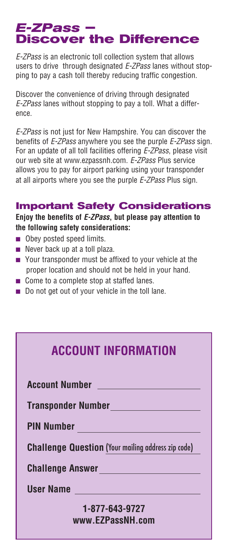# *E-ZPass –*<br>Discover the Difference

*E-ZPass* is an electronic toll collection system that allows users to drive through designated *E-ZPass* lanes without stopping to pay a cash toll thereby reducing traffic congestion.

Discover the convenience of driving through designated *E-ZPass* lanes without stopping to pay a toll. What a difference.

*E-ZPass* is not just for New Hampshire. You can discover the benefits of *E-ZPass* anywhere you see the purple *E-ZPass* sign. For an update of all toll facilities offering *E-ZPass*, please visit our web site at www.ezpassnh.com. *E-ZPass* Plus service allows you to pay for airport parking using your transponder at all airports where you see the purple *E-ZPass* Plus sign.

#### **Important Safety Considerations**

**Enjoy the benefits of** *E-ZPass***, but please pay attention to the following safety considerations:**

- **n** Obey posted speed limits.
- $\blacksquare$  Never back up at a toll plaza.
- **n** Your transponder must be affixed to your vehicle at the proper location and should not be held in your hand.
- $\blacksquare$  Come to a complete stop at staffed lanes.
- $\blacksquare$  Do not get out of your vehicle in the toll lane.

## **ACCOUNT INFORMATION**

**Account Number** 

**Transponder Number**

**PIN Number**

**Challenge Question** (Your mailing address zip code)

**Challenge Answer**

**User Name**

#### **1-877-643-9727 www.EZPassNH.com**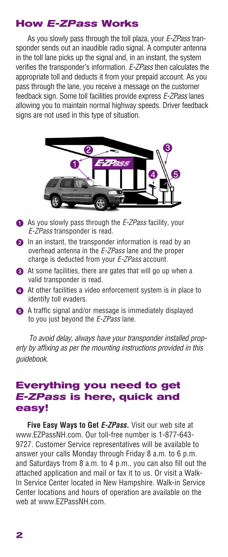#### **How** *E-ZPass* **Works**

As you slowly pass through the toll plaza, your *E-ZPass* transponder sends out an inaudible radio signal. A computer antenna in the toll lane picks up the signal and, in an instant, the system verifies the transponder's information. *E-ZPass* then calculates the appropriate toll and deducts it from your prepaid account. As you pass through the lane, you receive a message on the customer feedback sign. Some toll facilities provide express *E-ZPass* lanes allowing you to maintain normal highway speeds. Driver feedback signs are not used in this type of situation.



- 1 As you slowly pass through the *E-ZPass* facility, your *E-ZPass* transponder is read.
- **2** In an instant, the transponder information is read by an overhead antenna in the *E-ZPass* lane and the proper charge is deducted from your *E-ZPass* account.
- $\bigodot$  At some facilities, there are gates that will go up when a valid transponder is read.
- 4 At other facilities a video enforcement system is in place to identify toll evaders.
- 5 A traffic signal and/or message is immediately displayed to you just beyond the *E-ZPass* lane.

*To avoid delay, always have your transponder installed properly by affixing as per the mounting instructions provided in this guidebook.*

#### **Everything you need to get**  *E-ZPass* **is here, quick and easy!**

**Five Easy Ways to Get** *E-ZPass***.** Visit our web site at www.EZPassNH.com. Our toll-free number is 1-877-643- 9727. Customer Service representatives will be available to answer your calls Monday through Friday 8 a.m. to 6 p.m. and Saturdays from 8 a.m. to 4 p.m., you can also fill out the attached application and mail or fax it to us. Or visit a Walk-In Service Center located in New Hampshire. Walk-in Service Center locations and hours of operation are available on the web at www.EZPassNH.com.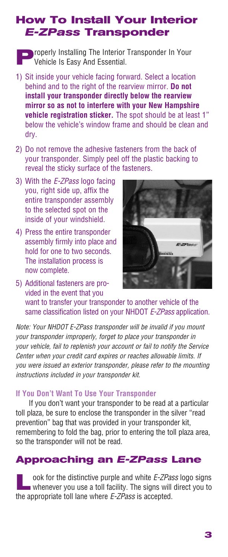### **How To Install Your Interior**  *E-ZPass* **Transponder**

**P**roperly Installing The Interior Transponder In Your Vehicle Is Easy And Essential.

- 1) Sit inside your vehicle facing forward. Select a location behind and to the right of the rearview mirror. **Do not install your transponder directly below the rearview mirror so as not to interfere with your New Hampshire vehicle registration sticker.** The spot should be at least 1" below the vehicle's window frame and should be clean and dry.
- 2) Do not remove the adhesive fasteners from the back of your transponder. Simply peel off the plastic backing to reveal the sticky surface of the fasteners.
- 3) With the *E-ZPass* logo facing you, right side up, affix the entire transponder assembly to the selected spot on the inside of your windshield.
- 4) Press the entire transponder assembly firmly into place and hold for one to two seconds. The installation process is now complete.



5) Additional fasteners are provided in the event that you want to transfer your transponder to another vehicle of the same classification listed on your NHDOT *E-ZPass* application.

*Note: Your NHDOT E-ZPass transponder will be invalid if you mount your transponder improperly, forget to place your transponder in your vehicle, fail to replenish your account or fail to notify the Service Center when your credit card expires or reaches allowable limits. If you were issued an exterior transponder, please refer to the mounting instructions included in your transponder kit.*

#### **If You Don't Want To Use Your Transponder**

If you don't want your transponder to be read at a particular toll plaza, be sure to enclose the transponder in the silver "read prevention" bag that was provided in your transponder kit, remembering to fold the bag, prior to entering the toll plaza area, so the transponder will not be read.

#### **Approaching an** *E-ZPass* **Lane**

**Look for the distinctive purple and white** *E-ZPass* **logo signs** whenever you use a toll facility. The signs will direct you to the appropriate toll lane where *E-ZPass* is accepted.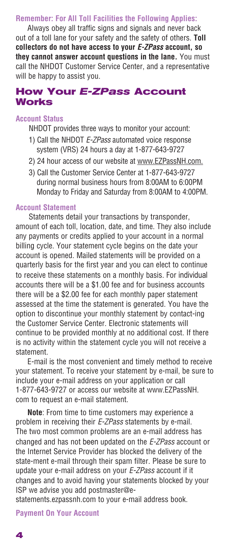#### **Remember: For All Toll Facilities the Following Applies:**

Always obey all traffic signs and signals and never back out of a toll lane for your safety and the safety of others. **Toll collectors do not have access to your** *E-ZPass* **account, so they cannot answer account questions in the lane.** You must call the NHDOT Customer Service Center, and a representative will be happy to assist you.

#### **How Your** *E-ZPass* **Account Works**

#### **Account Status**

NHDOT provides three ways to monitor your account:

- 1) Call the NHDOT *E-ZPass* automated voice response system (VRS) 24 hours a day at 1-877-643-9727
- 2) 24 hour access of our website at www.EZPassNH.com.
- 3) Call the Customer Service Center at 1-877-643-9727 during normal business hours from 8:00AM to 6:00PM Monday to Friday and Saturday from 8:00AM to 4:00PM.

#### **Account Statement**

Statements detail your transactions by transponder, amount of each toll, location, date, and time. They also include any payments or credits applied to your account in a normal billing cycle. Your statement cycle begins on the date your account is opened. Mailed statements will be provided on a quarterly basis for the first year and you can elect to continue to receive these statements on a monthly basis. For individual accounts there will be a \$1.00 fee and for business accounts there will be a \$2.00 fee for each monthly paper statement assessed at the time the statement is generated. You have the option to discontinue your monthly statement by contact-ing the Customer Service Center. Electronic statements will continue to be provided monthly at no additional cost. If there is no activity within the statement cycle you will not receive a statement.

E-mail is the most convenient and timely method to receive your statement. To receive your statement by e-mail, be sure to include your e-mail address on your application or call 1-877-643-9727 or access our website at www.EZPassNH. com to request an e-mail statement.

**Note**: From time to time customers may experience a problem in receiving their *E-ZPass* statements by e-mail. The two most common problems are an e-mail address has changed and has not been updated on the *E-ZPass* account or the Internet Service Provider has blocked the delivery of the state-ment e-mail through their spam filter. Please be sure to update your e-mail address on your *E-ZPass* account if it changes and to avoid having your statements blocked by your ISP we advise you add postmaster@e-

statements.ezpassnh.com to your e-mail address book.

**Payment On Your Account**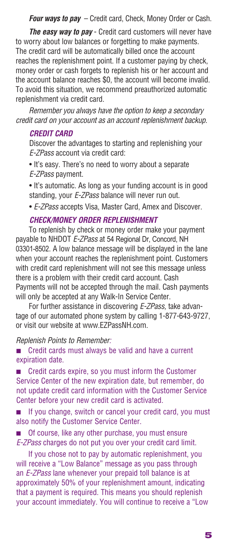*Four ways to pay* – Credit card, Check, Money Order or Cash.

*The easy way to pay* - Credit card customers will never have to worry about low balances or forgetting to make payments. The credit card will be automatically billed once the account reaches the replenishment point. If a customer paying by check, money order or cash forgets to replenish his or her account and the account balance reaches \$0, the account will become invalid. To avoid this situation, we recommend preauthorized automatic replenishment via credit card.

*Remember you always have the option to keep a secondary credit card on your account as an account replenishment backup.*

#### *CREDIT CARD*

Discover the advantages to starting and replenishing your *E-ZPass* account via credit card:

• It's easy. There's no need to worry about a separate *E-ZPass* payment.

• It's automatic. As long as your funding account is in good standing, your *E-ZPass* balance will never run out.

• *E-ZPass* accepts Visa, Master Card, Amex and Discover.

#### *CHECK/MONEY ORDER REPLENISHMENT*

To replenish by check or money order make your payment payable to NHDOT *E-ZPass* at 54 Regional Dr, Concord, NH 03301-8502. A low balance message will be displayed in the lane when your account reaches the replenishment point. Customers with credit card replenishment will not see this message unless there is a problem with their credit card account. Cash Payments will not be accepted through the mail. Cash payments will only be accepted at any Walk-In Service Center.

For further assistance in discovering *E-ZPass,* take advantage of our automated phone system by calling 1-877-643-9727, or visit our website at www.EZPassNH.com.

#### *Replenish Points to Remember:*

■ Credit cards must always be valid and have a current expiration date.

**n** Credit cards expire, so you must inform the Customer Service Center of the new expiration date, but remember, do not update credit card information with the Customer Service Center before your new credit card is activated.

**n** If you change, switch or cancel your credit card, you must also notify the Customer Service Center.

Of course, like any other purchase, you must ensure *E-ZPass* charges do not put you over your credit card limit.

If you chose not to pay by automatic replenishment, you will receive a "Low Balance" message as you pass through an *E-ZPass* lane whenever your prepaid toll balance is at approximately 50% of your replenishment amount, indicating that a payment is required. This means you should replenish your account immediately. You will continue to receive a "Low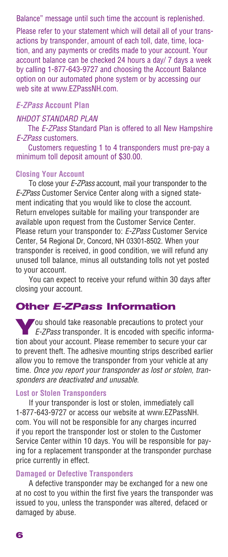#### Balance" message until such time the account is replenished.

Please refer to your statement which will detail all of your transactions by transponder, amount of each toll, date, time, location, and any payments or credits made to your account. Your account balance can be checked 24 hours a day/ 7 days a week by calling 1-877-643-9727 and choosing the Account Balance option on our automated phone system or by accessing our web site at www.EZPassNH.com.

#### *E-ZPass* **Account Plan**

#### *NHDOT STANDARD PLAN*

The *E-ZPass* Standard Plan is offered to all New Hampshire *E-ZPass* customers.

Customers requesting 1 to 4 transponders must pre-pay a minimum toll deposit amount of \$30.00.

#### **Closing Your Account**

To close your *E-ZPass* account, mail your transponder to the *E-ZPass* Customer Service Center along with a signed statement indicating that you would like to close the account. Return envelopes suitable for mailing your transponder are available upon request from the Customer Service Center. Please return your transponder to: *E-ZPass* Customer Service Center, 54 Regional Dr, Concord, NH 03301-8502. When your transponder is received, in good condition, we will refund any unused toll balance, minus all outstanding tolls not yet posted to your account.

You can expect to receive your refund within 30 days after closing your account.

#### **Other** *E-ZPass* **Information**

**Y**ou should take reasonable precautions to protect your *E-ZPass* transponder. It is encoded with specific information about your account. Please remember to secure your car to prevent theft. The adhesive mounting strips described earlier allow you to remove the transponder from your vehicle at any time. *Once you report your transponder as lost or stolen, transponders are deactivated and unusable.*

#### **Lost or Stolen Transponders**

If your transponder is lost or stolen, immediately call 1-877-643-9727 or access our website at www.EZPassNH. com. You will not be responsible for any charges incurred if you report the transponder lost or stolen to the Customer Service Center within 10 days. You will be responsible for paying for a replacement transponder at the transponder purchase price currently in effect.

#### **Damaged or Defective Transponders**

A defective transponder may be exchanged for a new one at no cost to you within the first five years the transponder was issued to you, unless the transponder was altered, defaced or damaged by abuse.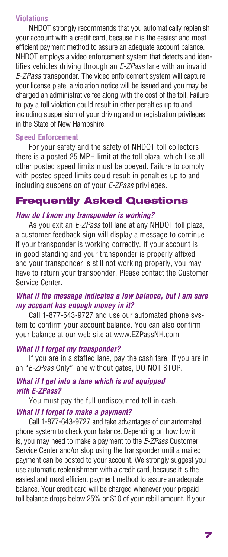#### **Violations**

NHDOT strongly recommends that you automatically replenish your account with a credit card, because it is the easiest and most efficient payment method to assure an adequate account balance. NHDOT employs a video enforcement system that detects and identifies vehicles driving through an *E-ZPass* lane with an invalid *E-ZPass* transponder. The video enforcement system will capture your license plate, a violation notice will be issued and you may be charged an administrative fee along with the cost of the toll. Failure to pay a toll violation could result in other penalties up to and including suspension of your driving and or registration privileges in the State of New Hampshire.

#### **Speed Enforcement**

For your safety and the safety of NHDOT toll collectors there is a posted 25 MPH limit at the toll plaza, which like all other posted speed limits must be obeyed. Failure to comply with posted speed limits could result in penalties up to and including suspension of your *E-ZPass* privileges.

#### **Frequently Asked Questions**

#### *How do I know my transponder is working?*

As you exit an *E-ZPass* toll lane at any NHDOT toll plaza, a customer feedback sign will display a message to continue if your transponder is working correctly. If your account is in good standing and your transponder is properly affixed and your transponder is still not working properly, you may have to return your transponder. Please contact the Customer Service Center.

#### *What if the message indicates a low balance, but I am sure my account has enough money in it?*

Call 1-877-643-9727 and use our automated phone system to confirm your account balance. You can also confirm your balance at our web site at www.EZPassNH.com

#### *What if I forget my transponder?*

If you are in a staffed lane, pay the cash fare. If you are in an "*E-ZPass* Only" lane without gates, DO NOT STOP.

#### *What if I get into a lane which is not equipped with E-ZPass?*

You must pay the full undiscounted toll in cash.

#### *What if I forget to make a payment?*

Call 1-877-643-9727 and take advantages of our automated phone system to check your balance. Depending on how low it is, you may need to make a payment to the *E-ZPass* Customer Service Center and/or stop using the transponder until a mailed payment can be posted to your account. We strongly suggest you use automatic replenishment with a credit card, because it is the easiest and most efficient payment method to assure an adequate balance. Your credit card will be charged whenever your prepaid toll balance drops below 25% or \$10 of your rebill amount. If your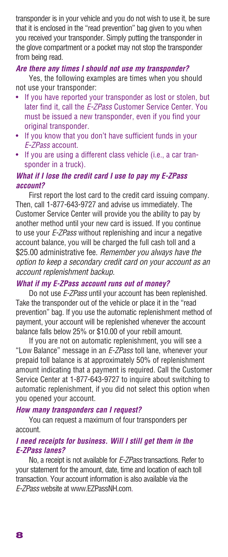transponder is in your vehicle and you do not wish to use it, be sure that it is enclosed in the "read prevention" bag given to you when you received your transponder. Simply putting the transponder in the glove compartment or a pocket may not stop the transponder from being read.

#### *Are there any times I should not use my transponder?*

Yes, the following examples are times when you should not use your transponder:

- If you have reported your transponder as lost or stolen, but later find it, call the *E-ZPass* Customer Service Center. You must be issued a new transponder, even if you find your original transponder.
- If you know that you don't have sufficient funds in your *E-ZPass* account.
- If you are using a different class vehicle (i.e., a car transponder in a truck).

#### *What if I lose the credit card I use to pay my E-ZPass account?*

First report the lost card to the credit card issuing company. Then, call 1-877-643-9727 and advise us immediately. The Customer Service Center will provide you the ability to pay by another method until your new card is issued. If you continue to use your *E-ZPass* without replenishing and incur a negative account balance, you will be charged the full cash toll and a \$25.00 administrative fee. *Remember you always have the option to keep a secondary credit card on your account as an account replenishment backup.*

#### *What if my E-ZPass account runs out of money?*

Do not use *E-ZPass* until your account has been replenished. Take the transponder out of the vehicle or place it in the "read prevention" bag. If you use the automatic replenishment method of payment, your account will be replenished whenever the account balance falls below 25% or \$10.00 of your rebill amount.

If you are not on automatic replenishment, you will see a "Low Balance" message in an *E-ZPass* toll lane, whenever your prepaid toll balance is at approximately 50% of replenishment amount indicating that a payment is required. Call the Customer Service Center at 1-877-643-9727 to inquire about switching to automatic replenishment, if you did not select this option when you opened your account.

#### *How many transponders can I request?*

You can request a maximum of four transponders per account.

#### *I need receipts for business. Will I still get them in the E-ZPass lanes?*

No, a receipt is not available for *E-ZPass* transactions. Refer to your statement for the amount, date, time and location of each toll transaction. Your account information is also available via the *E-ZPass* website at www.EZPassNH.com.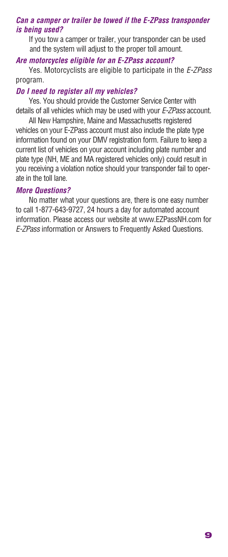#### *Can a camper or trailer be towed if the E-ZPass transponder is being used?*

If you tow a camper or trailer, your transponder can be used and the system will adjust to the proper toll amount.

#### *Are motorcycles eligible for an E-ZPass account?*

Yes. Motorcyclists are eligible to participate in the *E-ZPass* program.

#### *Do I need to register all my vehicles?*

Yes. You should provide the Customer Service Center with details of all vehicles which may be used with your *E-ZPass* account.

All New Hampshire, Maine and Massachusetts registered vehicles on your E-ZPass account must also include the plate type information found on your DMV registration form. Failure to keep a current list of vehicles on your account including plate number and plate type (NH, ME and MA registered vehicles only) could result in you receiving a violation notice should your transponder fail to operate in the toll lane.

#### *More Questions?*

No matter what your questions are, there is one easy number to call 1-877-643-9727, 24 hours a day for automated account information. Please access our website at www.EZPassNH.com for *E-ZPass* information or Answers to Frequently Asked Questions.

**9**